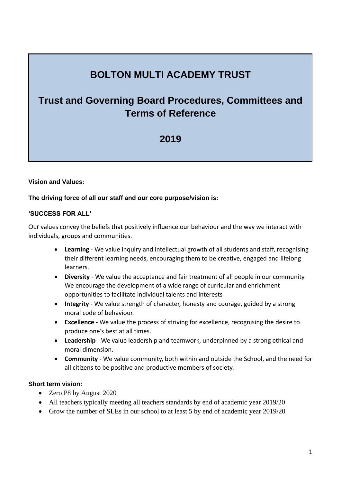# **BOLTON MULTI ACADEMY TRUST**

# **Trust and Governing Board Procedures, Committees and Terms of Reference**

# **2019**

### **Vision and Values:**

### **The driving force of all our staff and our core purpose/vision is:**

#### **'SUCCESS FOR ALL'**

Our values convey the beliefs that positively influence our behaviour and the way we interact with individuals, groups and communities.

- **Learning** We value inquiry and intellectual growth of all students and staff, recognising their different learning needs, encouraging them to be creative, engaged and lifelong learners.
- **Diversity** We value the acceptance and fair treatment of all people in our community. We encourage the development of a wide range of curricular and enrichment opportunities to facilitate individual talents and interests
- **Integrity** We value strength of character, honesty and courage, guided by a strong moral code of behaviour.
- **Excellence** We value the process of striving for excellence, recognising the desire to produce one's best at all times.
- **Leadership** We value leadership and teamwork, underpinned by a strong ethical and moral dimension.
- **Community** We value community, both within and outside the School, and the need for all citizens to be positive and productive members of society.

#### **Short term vision:**

- Zero P8 by August 2020
- All teachers typically meeting all teachers standards by end of academic year 2019/20
- Grow the number of SLEs in our school to at least 5 by end of academic year 2019/20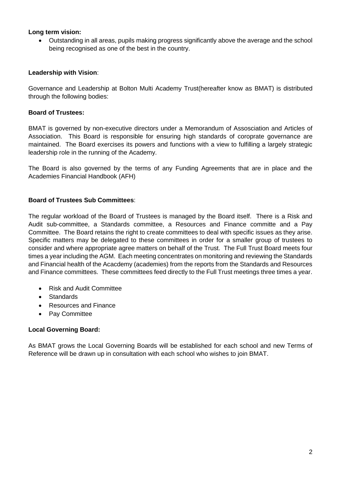### **Long term vision:**

• Outstanding in all areas, pupils making progress significantly above the average and the school being recognised as one of the best in the country.

### **Leadership with Vision**:

Governance and Leadership at Bolton Multi Academy Trust(hereafter know as BMAT) is distributed through the following bodies:

### **Board of Trustees:**

BMAT is governed by non-executive directors under a Memorandum of Assosciation and Articles of Association. This Board is responsible for ensuring high standards of coroprate governance are maintained. The Board exercises its powers and functions with a view to fulfilling a largely strategic leadership role in the running of the Academy.

The Board is also governed by the terms of any Funding Agreements that are in place and the Academies Financial Handbook (AFH)

### **Board of Trustees Sub Committees**:

The regular workload of the Board of Trustees is managed by the Board itself. There is a Risk and Audit sub-committee, a Standards committee, a Resources and Finance committe and a Pay Committee. The Board retains the right to create committees to deal with specific issues as they arise. Specific matters may be delegated to these committees in order for a smaller group of trustees to consider and where appropriate agree matters on behalf of the Trust. The Full Trust Board meets four times a year including the AGM. Each meeting concentrates on monitoring and reviewing the Standards and Financial health of the Acacdemy (academies) from the reports from the Standards and Resources and Finance committees. These committees feed directly to the Full Trust meetings three times a year.

- Risk and Audit Committee
- **Standards**
- Resources and Finance
- Pay Committee

#### **Local Governing Board:**

As BMAT grows the Local Governing Boards will be established for each school and new Terms of Reference will be drawn up in consultation with each school who wishes to join BMAT.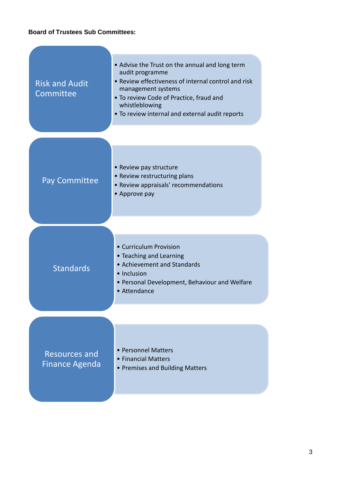# **Board of Trustees Sub Committees:**

**Contract Contract Contract Contract** 

| <b>Risk and Audit</b><br>Committee            | • Advise the Trust on the annual and long term<br>audit programme<br>• Review effectiveness of internal control and risk<br>management systems<br>. To review Code of Practice, fraud and<br>whistleblowing<br>. To review internal and external audit reports |  |
|-----------------------------------------------|----------------------------------------------------------------------------------------------------------------------------------------------------------------------------------------------------------------------------------------------------------------|--|
| <b>Pay Committee</b>                          | • Review pay structure<br>• Review restructuring plans<br>• Review appraisals' recommendations<br>• Approve pay                                                                                                                                                |  |
| <b>Standards</b>                              | • Curriculum Provision<br>• Teaching and Learning<br>• Achievement and Standards<br>• Inclusion<br>• Personal Development, Behaviour and Welfare<br>• Attendance                                                                                               |  |
| <b>Resources and</b><br><b>Finance Agenda</b> | • Personnel Matters<br>• Financial Matters<br>• Premises and Building Matters                                                                                                                                                                                  |  |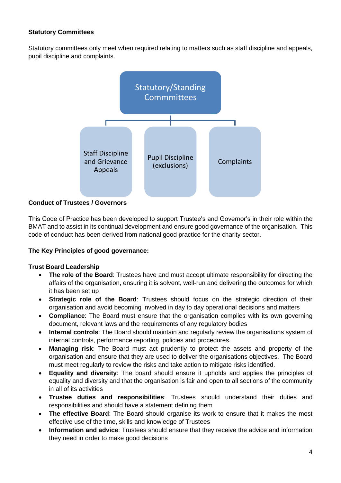# **Statutory Committees**

Statutory committees only meet when required relating to matters such as staff discipline and appeals, pupil discipline and complaints.



## **Conduct of Trustees / Governors**

This Code of Practice has been developed to support Trustee's and Governor's in their role within the BMAT and to assist in its continual development and ensure good governance of the organisation. This code of conduct has been derived from national good practice for the charity sector.

#### **The Key Principles of good governance:**

#### **Trust Board Leadership**

- **The role of the Board**: Trustees have and must accept ultimate responsibility for directing the affairs of the organisation, ensuring it is solvent, well-run and delivering the outcomes for which it has been set up
- **Strategic role of the Board**: Trustees should focus on the strategic direction of their organisation and avoid becoming involved in day to day operational decisions and matters
- **Compliance**: The Board must ensure that the organisation complies with its own governing document, relevant laws and the requirements of any regulatory bodies
- **Internal controls**: The Board should maintain and regularly review the organisations system of internal controls, performance reporting, policies and procedures.
- **Managing risk**: The Board must act prudently to protect the assets and property of the organisation and ensure that they are used to deliver the organisations objectives. The Board must meet regularly to review the risks and take action to mitigate risks identified.
- **Equality and diversity**: The board should ensure it upholds and applies the principles of equality and diversity and that the organisation is fair and open to all sections of the community in all of its activities
- **Trustee duties and responsibilities**: Trustees should understand their duties and responsibilities and should have a statement defining them
- **The effective Board**: The Board should organise its work to ensure that it makes the most effective use of the time, skills and knowledge of Trustees
- **Information and advice**: Trustees should ensure that they receive the advice and information they need in order to make good decisions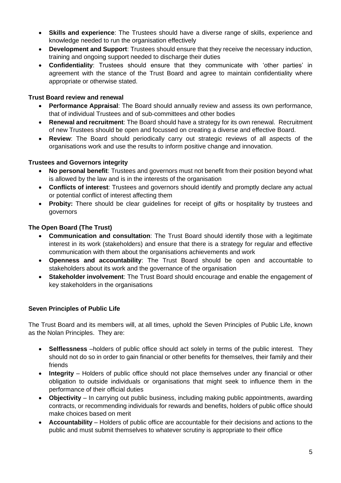- **Skills and experience**: The Trustees should have a diverse range of skills, experience and knowledge needed to run the organisation effectively
- **Development and Support**: Trustees should ensure that they receive the necessary induction, training and ongoing support needed to discharge their duties
- **Confidentiality**: Trustees should ensure that they communicate with 'other parties' in agreement with the stance of the Trust Board and agree to maintain confidentiality where appropriate or otherwise stated.

## **Trust Board review and renewal**

- **Performance Appraisal**: The Board should annually review and assess its own performance, that of individual Trustees and of sub-committees and other bodies
- **Renewal and recruitment**: The Board should have a strategy for its own renewal. Recruitment of new Trustees should be open and focussed on creating a diverse and effective Board.
- **Review**: The Board should periodically carry out strategic reviews of all aspects of the organisations work and use the results to inform positive change and innovation.

# **Trustees and Governors integrity**

- **No personal benefit**: Trustees and governors must not benefit from their position beyond what is allowed by the law and is in the interests of the organisation
- **Conflicts of interest**: Trustees and governors should identify and promptly declare any actual or potential conflict of interest affecting them
- **Probity:** There should be clear guidelines for receipt of gifts or hospitality by trustees and governors

# **The Open Board (The Trust)**

- **Communication and consultation**: The Trust Board should identify those with a legitimate interest in its work (stakeholders) and ensure that there is a strategy for regular and effective communication with them about the organisations achievements and work
- **Openness and accountability**: The Trust Board should be open and accountable to stakeholders about its work and the governance of the organisation
- **Stakeholder involvement**: The Trust Board should encourage and enable the engagement of key stakeholders in the organisations

## **Seven Principles of Public Life**

The Trust Board and its members will, at all times, uphold the Seven Principles of Public Life, known as the Nolan Principles. They are:

- **Selflessness** –holders of public office should act solely in terms of the public interest. They should not do so in order to gain financial or other benefits for themselves, their family and their friends
- **Integrity** Holders of public office should not place themselves under any financial or other obligation to outside individuals or organisations that might seek to influence them in the performance of their official duties
- **Objectivity** In carrying out public business, including making public appointments, awarding contracts, or recommending individuals for rewards and benefits, holders of public office should make choices based on merit
- **Accountability** Holders of public office are accountable for their decisions and actions to the public and must submit themselves to whatever scrutiny is appropriate to their office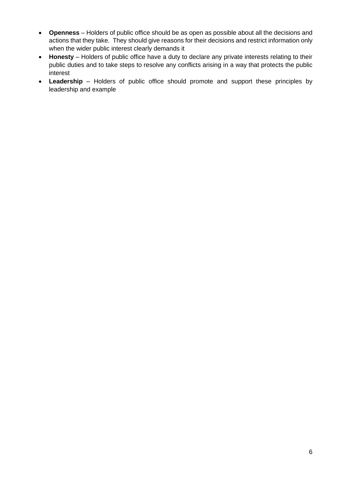- **Openness** Holders of public office should be as open as possible about all the decisions and actions that they take. They should give reasons for their decisions and restrict information only when the wider public interest clearly demands it
- **Honesty** Holders of public office have a duty to declare any private interests relating to their public duties and to take steps to resolve any conflicts arising in a way that protects the public interest
- **Leadership** Holders of public office should promote and support these principles by leadership and example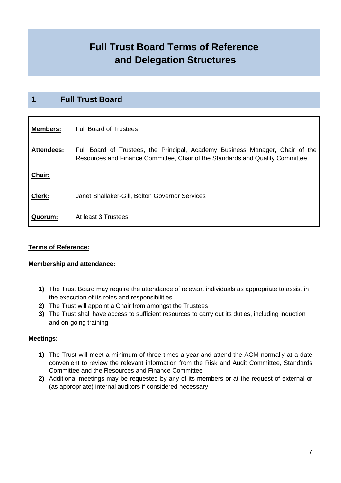# **Full Trust Board Terms of Reference and Delegation Structures**

# **1 Full Trust Board**

| <b>Members:</b>   | <b>Full Board of Trustees</b>                                                                                                                                  |
|-------------------|----------------------------------------------------------------------------------------------------------------------------------------------------------------|
| <b>Attendees:</b> | Full Board of Trustees, the Principal, Academy Business Manager, Chair of the<br>Resources and Finance Committee, Chair of the Standards and Quality Committee |
| Chair:            |                                                                                                                                                                |
| Clerk:            | Janet Shallaker-Gill, Bolton Governor Services                                                                                                                 |
| Quorum:           | At least 3 Trustees                                                                                                                                            |

## **Terms of Reference:**

#### **Membership and attendance:**

- **1)** The Trust Board may require the attendance of relevant individuals as appropriate to assist in the execution of its roles and responsibilities
- **2)** The Trust will appoint a Chair from amongst the Trustees
- **3)** The Trust shall have access to sufficient resources to carry out its duties, including induction and on-going training

#### **Meetings:**

- **1)** The Trust will meet a minimum of three times a year and attend the AGM normally at a date convenient to review the relevant information from the Risk and Audit Committee, Standards Committee and the Resources and Finance Committee
- **2)** Additional meetings may be requested by any of its members or at the request of external or (as appropriate) internal auditors if considered necessary.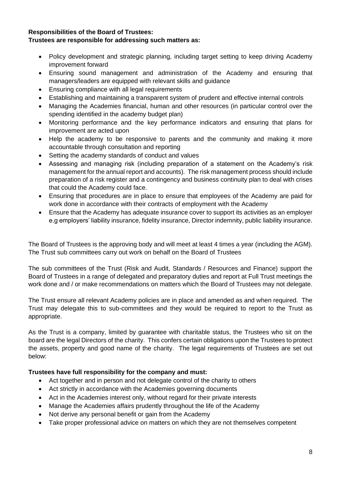### **Responsibilities of the Board of Trustees: Trustees are responsible for addressing such matters as:**

- Policy development and strategic planning, including target setting to keep driving Academy improvement forward
- Ensuring sound management and administration of the Academy and ensuring that managers/leaders are equipped with relevant skills and guidance
- Ensuring compliance with all legal requirements
- Establishing and maintaining a transparent system of prudent and effective internal controls
- Managing the Academies financial, human and other resources (in particular control over the spending identified in the academy budget plan)
- Monitoring performance and the key performance indicators and ensuring that plans for improvement are acted upon
- Help the academy to be responsive to parents and the community and making it more accountable through consultation and reporting
- Setting the academy standards of conduct and values
- Assessing and managing risk (including preparation of a statement on the Academy's risk management for the annual report and accounts). The risk management process should include preparation of a risk register and a contingency and business continuity plan to deal with crises that could the Academy could face.
- Ensuring that procedures are in place to ensure that employees of the Academy are paid for work done in accordance with their contracts of employment with the Academy
- Ensure that the Academy has adequate insurance cover to support its activities as an employer e.g employers' liability insurance, fidelity insurance, Director indemnity, public liability insurance.

The Board of Trustees is the approving body and will meet at least 4 times a year (including the AGM). The Trust sub committees carry out work on behalf on the Board of Trustees

The sub committees of the Trust (Risk and Audit, Standards / Resources and Finance) support the Board of Trustees in a range of delegated and preparatory duties and report at Full Trust meetings the work done and / or make recommendations on matters which the Board of Trustees may not delegate.

The Trust ensure all relevant Academy policies are in place and amended as and when required. The Trust may delegate this to sub-committees and they would be required to report to the Trust as appropriate.

As the Trust is a company, limited by guarantee with charitable status, the Trustees who sit on the board are the legal Directors of the charity. This confers certain obligations upon the Trustees to protect the assets, property and good name of the charity. The legal requirements of Trustees are set out below:

#### **Trustees have full responsibility for the company and must:**

- Act together and in person and not delegate control of the charity to others
- Act strictly in accordance with the Academies governing documents
- Act in the Academies interest only, without regard for their private interests
- Manage the Academies affairs prudently throughout the life of the Academy
- Not derive any personal benefit or gain from the Academy
- Take proper professional advice on matters on which they are not themselves competent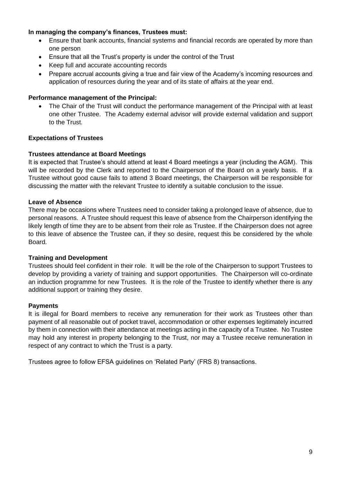### **In managing the company's finances, Trustees must:**

- Ensure that bank accounts, financial systems and financial records are operated by more than one person
- Ensure that all the Trust's property is under the control of the Trust
- Keep full and accurate accounting records
- Prepare accrual accounts giving a true and fair view of the Academy's incoming resources and application of resources during the year and of its state of affairs at the year end.

#### **Performance management of the Principal:**

• The Chair of the Trust will conduct the performance management of the Principal with at least one other Trustee. The Academy external advisor will provide external validation and support to the Trust.

### **Expectations of Trustees**

#### **Trustees attendance at Board Meetings**

It is expected that Trustee's should attend at least 4 Board meetings a year (including the AGM). This will be recorded by the Clerk and reported to the Chairperson of the Board on a yearly basis. If a Trustee without good cause fails to attend 3 Board meetings, the Chairperson will be responsible for discussing the matter with the relevant Trustee to identify a suitable conclusion to the issue.

#### **Leave of Absence**

There may be occasions where Trustees need to consider taking a prolonged leave of absence, due to personal reasons. A Trustee should request this leave of absence from the Chairperson identifying the likely length of time they are to be absent from their role as Trustee. If the Chairperson does not agree to this leave of absence the Trustee can, if they so desire, request this be considered by the whole Board.

#### **Training and Development**

Trustees should feel confident in their role. It will be the role of the Chairperson to support Trustees to develop by providing a variety of training and support opportunities. The Chairperson will co-ordinate an induction programme for new Trustees. It is the role of the Trustee to identify whether there is any additional support or training they desire.

#### **Payments**

It is illegal for Board members to receive any remuneration for their work as Trustees other than payment of all reasonable out of pocket travel, accommodation or other expenses legitimately incurred by them in connection with their attendance at meetings acting in the capacity of a Trustee. No Trustee may hold any interest in property belonging to the Trust, nor may a Trustee receive remuneration in respect of any contract to which the Trust is a party.

Trustees agree to follow EFSA guidelines on 'Related Party' (FRS 8) transactions.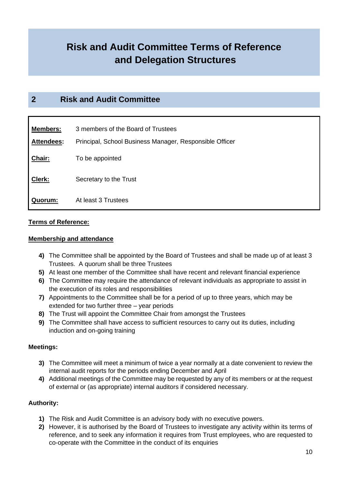# **Risk and Audit Committee Terms of Reference and Delegation Structures**

# **2 Risk and Audit Committee**

| <b>Members:</b> | 3 members of the Board of Trustees                      |
|-----------------|---------------------------------------------------------|
| Attendees:      | Principal, School Business Manager, Responsible Officer |
| Chair:          | To be appointed                                         |
| Clerk:          | Secretary to the Trust                                  |
| Quorum:         | At least 3 Trustees                                     |

#### **Terms of Reference:**

#### **Membership and attendance**

- **4)** The Committee shall be appointed by the Board of Trustees and shall be made up of at least 3 Trustees. A quorum shall be three Trustees
- **5)** At least one member of the Committee shall have recent and relevant financial experience
- **6)** The Committee may require the attendance of relevant individuals as appropriate to assist in the execution of its roles and responsibilities
- **7)** Appointments to the Committee shall be for a period of up to three years, which may be extended for two further three – year periods
- **8)** The Trust will appoint the Committee Chair from amongst the Trustees
- **9)** The Committee shall have access to sufficient resources to carry out its duties, including induction and on-going training

## **Meetings:**

- **3)** The Committee will meet a minimum of twice a year normally at a date convenient to review the internal audit reports for the periods ending December and April
- **4)** Additional meetings of the Committee may be requested by any of its members or at the request of external or (as appropriate) internal auditors if considered necessary.

## **Authority:**

- **1)** The Risk and Audit Committee is an advisory body with no executive powers.
- **2)** However, it is authorised by the Board of Trustees to investigate any activity within its terms of reference, and to seek any information it requires from Trust employees, who are requested to co-operate with the Committee in the conduct of its enquiries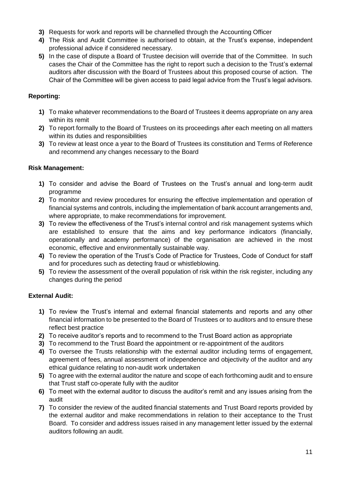- **3)** Requests for work and reports will be channelled through the Accounting Officer
- **4)** The Risk and Audit Committee is authorised to obtain, at the Trust's expense, independent professional advice if considered necessary.
- **5)** In the case of dispute a Board of Trustee decision will override that of the Committee. In such cases the Chair of the Committee has the right to report such a decision to the Trust's external auditors after discussion with the Board of Trustees about this proposed course of action. The Chair of the Committee will be given access to paid legal advice from the Trust's legal advisors.

# **Reporting:**

- **1)** To make whatever recommendations to the Board of Trustees it deems appropriate on any area within its remit
- **2)** To report formally to the Board of Trustees on its proceedings after each meeting on all matters within its duties and responsibilities
- **3)** To review at least once a year to the Board of Trustees its constitution and Terms of Reference and recommend any changes necessary to the Board

## **Risk Management:**

- **1)** To consider and advise the Board of Trustees on the Trust's annual and long-term audit programme
- **2)** To monitor and review procedures for ensuring the effective implementation and operation of financial systems and controls, including the implementation of bank account arrangements and, where appropriate, to make recommendations for improvement.
- **3)** To review the effectiveness of the Trust's internal control and risk management systems which are established to ensure that the aims and key performance indicators (financially, operationally and academy performance) of the organisation are achieved in the most economic, effective and environmentally sustainable way.
- **4)** To review the operation of the Trust's Code of Practice for Trustees, Code of Conduct for staff and for procedures such as detecting fraud or whistleblowing.
- **5)** To review the assessment of the overall population of risk within the risk register, including any changes during the period

# **External Audit:**

- **1)** To review the Trust's internal and external financial statements and reports and any other financial information to be presented to the Board of Trustees or to auditors and to ensure these reflect best practice
- **2)** To receive auditor's reports and to recommend to the Trust Board action as appropriate
- **3)** To recommend to the Trust Board the appointment or re-appointment of the auditors
- **4)** To oversee the Trusts relationship with the external auditor including terms of engagement, agreement of fees, annual assessment of independence and objectivity of the auditor and any ethical guidance relating to non-audit work undertaken
- **5)** To agree with the external auditor the nature and scope of each forthcoming audit and to ensure that Trust staff co-operate fully with the auditor
- **6)** To meet with the external auditor to discuss the auditor's remit and any issues arising from the audit
- **7)** To consider the review of the audited financial statements and Trust Board reports provided by the external auditor and make recommendations in relation to their acceptance to the Trust Board. To consider and address issues raised in any management letter issued by the external auditors following an audit.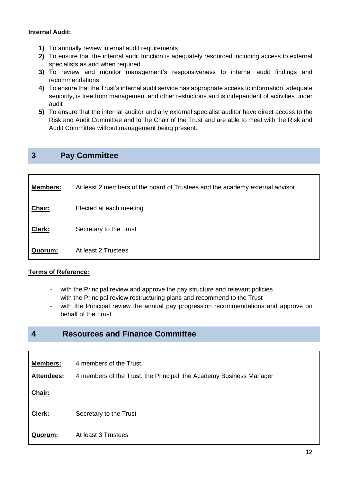### **Internal Audit:**

- **1)** To annually review internal audit requirements
- **2)** To ensure that the internal audit function is adequately resourced including access to external specialists as and when required.
- **3)** To review and monitor management's responsiveness to internal audit findings and recommendations
- **4)** To ensure that the Trust's internal audit service has appropriate access to information, adequate seniority, is free from management and other restrictions and is independent of activities under audit
- **5)** To ensure that the internal auditor and any external specialist auditor have direct access to the Risk and Audit Committee and to the Chair of the Trust and are able to meet with the Risk and Audit Committee without management being present.

# **3 Pay Committee**

| <b>Members:</b> | At least 2 members of the board of Trustees and the academy external advisor |
|-----------------|------------------------------------------------------------------------------|
| Chair:          | Elected at each meeting                                                      |
| Clerk:          | Secretary to the Trust                                                       |
| Quorum:         | At least 2 Trustees                                                          |

## **Terms of Reference:**

- with the Principal review and approve the pay structure and relevant policies
- with the Principal review restructuring plans and recommend to the Trust
- with the Principal review the annual pay progression recommendations and approve on behalf of the Trust

# **4 Resources and Finance Committee**

| <b>Members:</b>   | 4 members of the Trust                                              |
|-------------------|---------------------------------------------------------------------|
| <b>Attendees:</b> | 4 members of the Trust, the Principal, the Academy Business Manager |
| Chair:            |                                                                     |
| Clerk:            | Secretary to the Trust                                              |
| Quorum:           | At least 3 Trustees                                                 |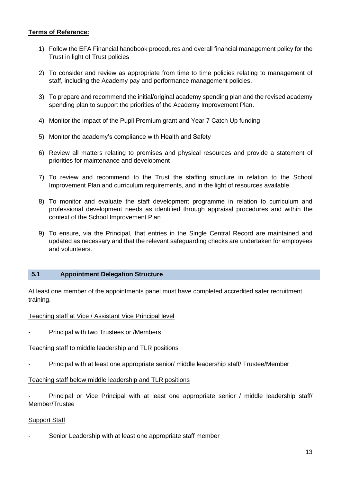# **Terms of Reference:**

- 1) Follow the EFA Financial handbook procedures and overall financial management policy for the Trust in light of Trust policies
- 2) To consider and review as appropriate from time to time policies relating to management of staff, including the Academy pay and performance management policies.
- 3) To prepare and recommend the initial/original academy spending plan and the revised academy spending plan to support the priorities of the Academy Improvement Plan.
- 4) Monitor the impact of the Pupil Premium grant and Year 7 Catch Up funding
- 5) Monitor the academy's compliance with Health and Safety
- 6) Review all matters relating to premises and physical resources and provide a statement of priorities for maintenance and development
- 7) To review and recommend to the Trust the staffing structure in relation to the School Improvement Plan and curriculum requirements, and in the light of resources available.
- 8) To monitor and evaluate the staff development programme in relation to curriculum and professional development needs as identified through appraisal procedures and within the context of the School Improvement Plan
- 9) To ensure, via the Principal, that entries in the Single Central Record are maintained and updated as necessary and that the relevant safeguarding checks are undertaken for employees and volunteers.

#### **5.1 Appointment Delegation Structure**

At least one member of the appointments panel must have completed accredited safer recruitment training.

#### Teaching staff at Vice / Assistant Vice Principal level

Principal with two Trustees or /Members

## Teaching staff to middle leadership and TLR positions

Principal with at least one appropriate senior/ middle leadership staff/ Trustee/Member

#### Teaching staff below middle leadership and TLR positions

Principal or Vice Principal with at least one appropriate senior / middle leadership staff/ Member/Trustee

#### Support Staff

Senior Leadership with at least one appropriate staff member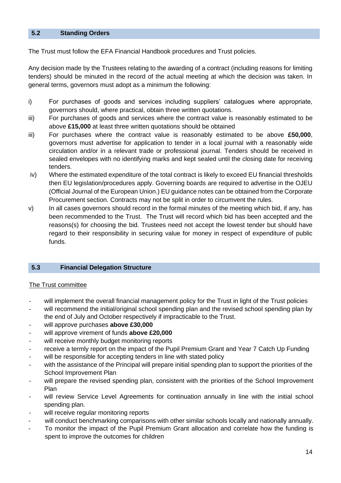#### **5.2 Standing Orders**

The Trust must follow the EFA Financial Handbook procedures and Trust policies.

Any decision made by the Trustees relating to the awarding of a contract (including reasons for limiting tenders) should be minuted in the record of the actual meeting at which the decision was taken. In general terms, governors must adopt as a minimum the following:

- i) For purchases of goods and services including suppliers' catalogues where appropriate, governors should, where practical, obtain three written quotations.
- iii) For purchases of goods and services where the contract value is reasonably estimated to be above **£15,000** at least three written quotations should be obtained
- iii) For purchases where the contract value is reasonably estimated to be above **£50,000**, governors must advertise for application to tender in a local journal with a reasonably wide circulation and/or in a relevant trade or professional journal. Tenders should be received in sealed envelopes with no identifying marks and kept sealed until the closing date for receiving tenders.
- iv) Where the estimated expenditure of the total contract is likely to exceed EU financial thresholds then EU legislation/procedures apply. Governing boards are required to advertise in the OJEU (Official Journal of the European Union.) EU guidance notes can be obtained from the Corporate Procurement section. Contracts may not be split in order to circumvent the rules.
- v) In all cases governors should record in the formal minutes of the meeting which bid, if any, has been recommended to the Trust. The Trust will record which bid has been accepted and the reasons(s) for choosing the bid. Trustees need not accept the lowest tender but should have regard to their responsibility in securing value for money in respect of expenditure of public funds.

#### **5.3 Financial Delegation Structure**

#### The Trust committee

- will implement the overall financial management policy for the Trust in light of the Trust policies
- will recommend the initial/original school spending plan and the revised school spending plan by the end of July and October respectively if impracticable to the Trust.
- will approve purchases **above £30,000**
- will approve virement of funds **above £20,000**
- will receive monthly budget monitoring reports
- receive a termly report on the impact of the Pupil Premium Grant and Year 7 Catch Up Funding
- will be responsible for accepting tenders in line with stated policy
- with the assistance of the Principal will prepare initial spending plan to support the priorities of the School Improvement Plan
- will prepare the revised spending plan, consistent with the priorities of the School Improvement Plan
- will review Service Level Agreements for continuation annually in line with the initial school spending plan.
- will receive regular monitoring reports
- will conduct benchmarking comparisons with other similar schools locally and nationally annually.
- To monitor the impact of the Pupil Premium Grant allocation and correlate how the funding is spent to improve the outcomes for children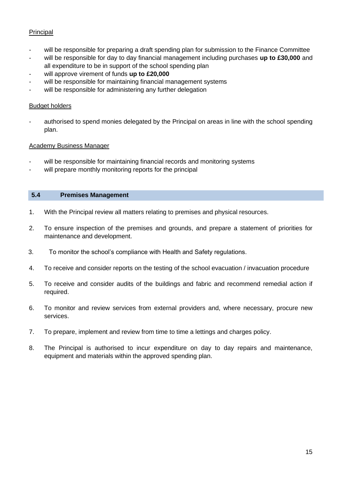# Principal

- will be responsible for preparing a draft spending plan for submission to the Finance Committee
- will be responsible for day to day financial management including purchases **up to £30,000** and all expenditure to be in support of the school spending plan
- will approve virement of funds **up to £20,000**
- will be responsible for maintaining financial management systems
- will be responsible for administering any further delegation

#### Budget holders

authorised to spend monies delegated by the Principal on areas in line with the school spending plan.

#### Academy Business Manager

- will be responsible for maintaining financial records and monitoring systems
- will prepare monthly monitoring reports for the principal

#### **5.4 Premises Management**

- 1. With the Principal review all matters relating to premises and physical resources.
- 2. To ensure inspection of the premises and grounds, and prepare a statement of priorities for maintenance and development.
- 3. To monitor the school's compliance with Health and Safety regulations.
- 4. To receive and consider reports on the testing of the school evacuation / invacuation procedure
- 5. To receive and consider audits of the buildings and fabric and recommend remedial action if required.
- 6. To monitor and review services from external providers and, where necessary, procure new services.
- 7. To prepare, implement and review from time to time a lettings and charges policy.
- 8. The Principal is authorised to incur expenditure on day to day repairs and maintenance, equipment and materials within the approved spending plan.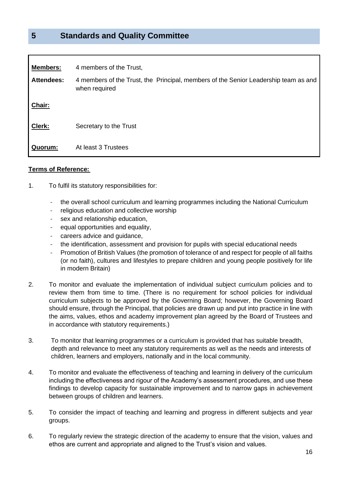# **5 Standards and Quality Committee**

| <b>Members:</b>   | 4 members of the Trust,                                                                              |
|-------------------|------------------------------------------------------------------------------------------------------|
| <b>Attendees:</b> | 4 members of the Trust, the Principal, members of the Senior Leadership team as and<br>when required |
| Chair:            |                                                                                                      |
| Clerk:            | Secretary to the Trust                                                                               |
| Quorum:           | At least 3 Trustees                                                                                  |

#### **Terms of Reference:**

- 1. To fulfil its statutory responsibilities for:
	- the overall school curriculum and learning programmes including the National Curriculum
	- religious education and collective worship
	- sex and relationship education,
	- equal opportunities and equality,
	- careers advice and guidance,
	- the identification, assessment and provision for pupils with special educational needs
	- Promotion of British Values (the promotion of tolerance of and respect for people of all faiths (or no faith), cultures and lifestyles to prepare children and young people positively for life in modern Britain)
- 2. To monitor and evaluate the implementation of individual subject curriculum policies and to review them from time to time. (There is no requirement for school policies for individual curriculum subjects to be approved by the Governing Board; however, the Governing Board should ensure, through the Principal, that policies are drawn up and put into practice in line with the aims, values, ethos and academy improvement plan agreed by the Board of Trustees and in accordance with statutory requirements.)
- 3. To monitor that learning programmes or a curriculum is provided that has suitable breadth, depth and relevance to meet any statutory requirements as well as the needs and interests of children, learners and employers, nationally and in the local community.
- 4. To monitor and evaluate the effectiveness of teaching and learning in delivery of the curriculum including the effectiveness and rigour of the Academy's assessment procedures, and use these findings to develop capacity for sustainable improvement and to narrow gaps in achievement between groups of children and learners.
- 5. To consider the impact of teaching and learning and progress in different subjects and year groups.
- 6. To regularly review the strategic direction of the academy to ensure that the vision, values and ethos are current and appropriate and aligned to the Trust's vision and values.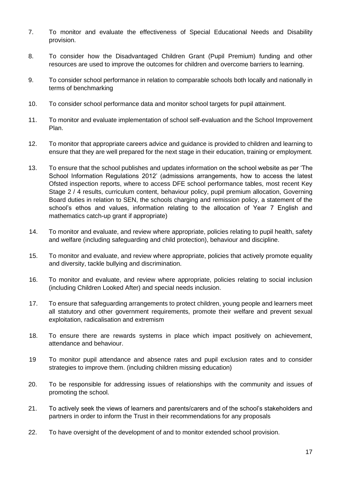- 7. To monitor and evaluate the effectiveness of Special Educational Needs and Disability provision.
- 8. To consider how the Disadvantaged Children Grant (Pupil Premium) funding and other resources are used to improve the outcomes for children and overcome barriers to learning.
- 9. To consider school performance in relation to comparable schools both locally and nationally in terms of benchmarking
- 10. To consider school performance data and monitor school targets for pupil attainment.
- 11. To monitor and evaluate implementation of school self-evaluation and the School Improvement Plan.
- 12. To monitor that appropriate careers advice and guidance is provided to children and learning to ensure that they are well prepared for the next stage in their education, training or employment.
- 13. To ensure that the school publishes and updates information on the school website as per 'The School Information Regulations 2012' (admissions arrangements, how to access the latest Ofsted inspection reports, where to access DFE school performance tables, most recent Key Stage 2 / 4 results, curriculum content, behaviour policy, pupil premium allocation, Governing Board duties in relation to SEN, the schools charging and remission policy, a statement of the school's ethos and values, information relating to the allocation of Year 7 English and mathematics catch-up grant if appropriate)
- 14. To monitor and evaluate, and review where appropriate, policies relating to pupil health, safety and welfare (including safeguarding and child protection), behaviour and discipline.
- 15. To monitor and evaluate, and review where appropriate, policies that actively promote equality and diversity, tackle bullying and discrimination.
- 16. To monitor and evaluate, and review where appropriate, policies relating to social inclusion (including Children Looked After) and special needs inclusion.
- 17. To ensure that safeguarding arrangements to protect children, young people and learners meet all statutory and other government requirements, promote their welfare and prevent sexual exploitation, radicalisation and extremism
- 18. To ensure there are rewards systems in place which impact positively on achievement, attendance and behaviour.
- 19 To monitor pupil attendance and absence rates and pupil exclusion rates and to consider strategies to improve them. (including children missing education)
- 20. To be responsible for addressing issues of relationships with the community and issues of promoting the school.
- 21. To actively seek the views of learners and parents/carers and of the school's stakeholders and partners in order to inform the Trust in their recommendations for any proposals
- 22. To have oversight of the development of and to monitor extended school provision.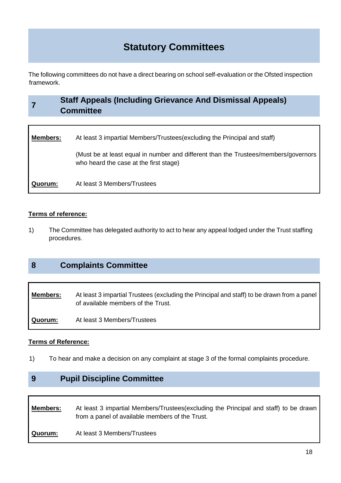# **Statutory Committees**

The following committees do not have a direct bearing on school self-evaluation or the Ofsted inspection framework.

#### **7 Staff Appeals (Including Grievance And Dismissal Appeals) Committee**

| <b>Members:</b> | At least 3 impartial Members/Trustees(excluding the Principal and staff)                                                      |
|-----------------|-------------------------------------------------------------------------------------------------------------------------------|
|                 | (Must be at least equal in number and different than the Trustees/members/governors<br>who heard the case at the first stage) |
| Quorum:         | At least 3 Members/Trustees                                                                                                   |

# **Terms of reference:**

1) The Committee has delegated authority to act to hear any appeal lodged under the Trust staffing procedures.

# **8 Complaints Committee**

**Members:** At least 3 impartial Trustees (excluding the Principal and staff) to be drawn from a panel of available members of the Trust. **Quorum:** At least 3 Members/Trustees

## **Terms of Reference:**

1) To hear and make a decision on any complaint at stage 3 of the formal complaints procedure.

# **9 Pupil Discipline Committee**

**Members:** At least 3 impartial Members/Trustees(excluding the Principal and staff) to be drawn from a panel of available members of the Trust. **Quorum:** At least 3 Members/Trustees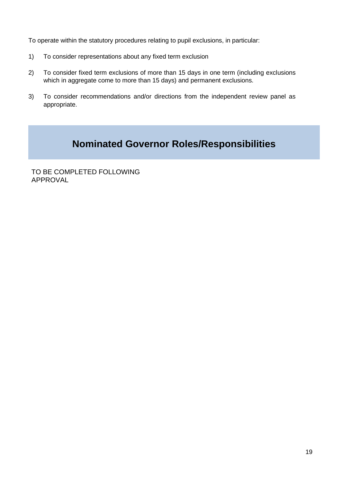To operate within the statutory procedures relating to pupil exclusions, in particular:

- 1) To consider representations about any fixed term exclusion
- 2) To consider fixed term exclusions of more than 15 days in one term (including exclusions which in aggregate come to more than 15 days) and permanent exclusions.
- 3) To consider recommendations and/or directions from the independent review panel as appropriate.

# **Nominated Governor Roles/Responsibilities**

TO BE COMPLETED FOLLOWING APPROVAL